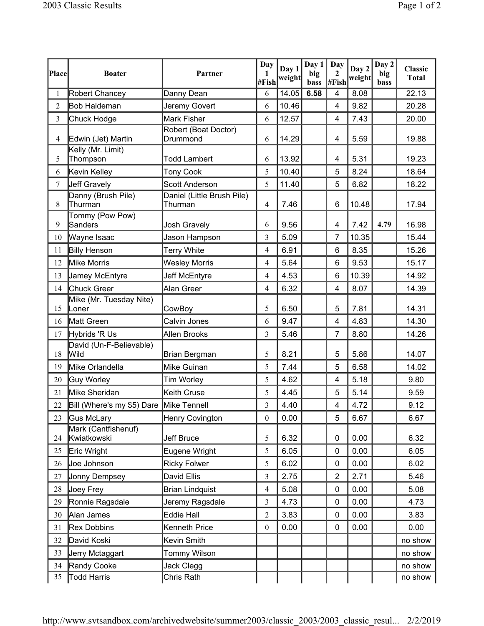|                |                                         |                                       | Day              | Day 1  | Day 1       | Day                   | Day 2  | Day 2       | <b>Classic</b> |
|----------------|-----------------------------------------|---------------------------------------|------------------|--------|-------------|-----------------------|--------|-------------|----------------|
| Place          | <b>Boater</b>                           | Partner                               | 1<br>#Fish       | weight | big<br>bass | $\mathbf{2}$<br>#Fish | weight | big<br>bass | <b>Total</b>   |
| 1              | <b>Robert Chancey</b>                   | Danny Dean                            | 6                | 14.05  | 6.58        | 4                     | 8.08   |             | 22.13          |
| $\overline{2}$ | Bob Haldeman                            | Jeremy Govert                         | 6                | 10.46  |             | $\overline{4}$        | 9.82   |             | 20.28          |
| 3              | Chuck Hodge                             | Mark Fisher                           | 6                | 12.57  |             | 4                     | 7.43   |             | 20.00          |
| $\overline{4}$ | Edwin (Jet) Martin                      | Robert (Boat Doctor)<br>Drummond      | 6                | 14.29  |             | 4                     | 5.59   |             | 19.88          |
| 5              | Kelly (Mr. Limit)<br>Thompson           | <b>Todd Lambert</b>                   | 6                | 13.92  |             | $\overline{4}$        | 5.31   |             | 19.23          |
| 6              | Kevin Kelley                            | <b>Tony Cook</b>                      | 5                | 10.40  |             | 5                     | 8.24   |             | 18.64          |
| 7              | <b>Jeff Gravely</b>                     | <b>Scott Anderson</b>                 | 5                | 11.40  |             | 5                     | 6.82   |             | 18.22          |
| $\,8\,$        | Danny (Brush Pile)<br>Thurman           | Daniel (Little Brush Pile)<br>Thurman | 4                | 7.46   |             | 6                     | 10.48  |             | 17.94          |
| 9              | Tommy (Pow Pow)<br>Sanders              | <b>Josh Gravely</b>                   | 6                | 9.56   |             | 4                     | 7.42   | 4.79        | 16.98          |
| 10             | Wayne Isaac                             | Jason Hampson                         | 3                | 5.09   |             | 7                     | 10.35  |             | 15.44          |
| 11             | <b>Billy Henson</b>                     | <b>Terry White</b>                    | 4                | 6.91   |             | 6                     | 8.35   |             | 15.26          |
| 12             | Mike Morris                             | <b>Wesley Morris</b>                  | 4                | 5.64   |             | $6\phantom{1}6$       | 9.53   |             | 15.17          |
| 13             | Jamey McEntyre                          | Jeff McEntyre                         | 4                | 4.53   |             | 6                     | 10.39  |             | 14.92          |
| 14             | Chuck Greer                             | Alan Greer                            | 4                | 6.32   |             | 4                     | 8.07   |             | 14.39          |
| 15             | Mike (Mr. Tuesday Nite)<br>Loner        | CowBoy                                | 5                | 6.50   |             | 5                     | 7.81   |             | 14.31          |
| 16             | Matt Green                              | Calvin Jones                          | 6                | 9.47   |             | 4                     | 4.83   |             | 14.30          |
| 17             | Hybrids 'R Us                           | Allen Brooks                          | 3                | 5.46   |             | $\overline{7}$        | 8.80   |             | 14.26          |
| 18             | David (Un-F-Believable)<br>Wild         | Brian Bergman                         | 5                | 8.21   |             | 5                     | 5.86   |             | 14.07          |
| 19             | Mike Orlandella                         | Mike Guinan                           | 5                | 7.44   |             | 5                     | 6.58   |             | 14.02          |
| 20             | Guy Worley                              | Tim Worley                            | 5                | 4.62   |             | 4                     | 5.18   |             | 9.80           |
| 21             | Mike Sheridan                           | Keith Cruse                           | 5                | 4.45   |             | 5                     | 5.14   |             | 9.59           |
| 22             | Bill (Where's my \$5) Dare Mike Tennell |                                       | 3                | 4.40   |             | 4                     | 4.72   |             | 9.12           |
| 23             | <b>Gus McLary</b>                       | Henry Covington                       | $\boldsymbol{0}$ | 0.00   |             | 5                     | 6.67   |             | 6.67           |
| 24             | Mark (Cantfishenuf)<br>Kwiatkowski      | Jeff Bruce                            | 5                | 6.32   |             | 0                     | 0.00   |             | 6.32           |
| 25             | Eric Wright                             | Eugene Wright                         | 5                | 6.05   |             | 0                     | 0.00   |             | 6.05           |
| 26             | Joe Johnson                             | <b>Ricky Folwer</b>                   | 5                | 6.02   |             | 0                     | 0.00   |             | 6.02           |
| 27             | Jonny Dempsey                           | David Ellis                           | 3                | 2.75   |             | $\overline{2}$        | 2.71   |             | 5.46           |
| 28             | Joey Frey                               | <b>Brian Lindquist</b>                | 4                | 5.08   |             | $\mathbf 0$           | 0.00   |             | 5.08           |
| 29             | Ronnie Ragsdale                         | Jeremy Ragsdale                       | 3                | 4.73   |             | 0                     | 0.00   |             | 4.73           |
| 30             | Alan James                              | <b>Eddie Hall</b>                     | $\overline{2}$   | 3.83   |             | $\mathbf 0$           | 0.00   |             | 3.83           |
| 31             | <b>Rex Dobbins</b>                      | Kenneth Price                         | $\boldsymbol{0}$ | 0.00   |             | $\mathbf 0$           | 0.00   |             | 0.00           |
| 32             | David Koski                             | Kevin Smith                           |                  |        |             |                       |        |             | no show        |
| 33             | Jerry Mctaggart                         | Tommy Wilson                          |                  |        |             |                       |        |             | no show        |
| 34             | Randy Cooke                             | Jack Clegg                            |                  |        |             |                       |        |             | no show        |
| 35             | <b>Todd Harris</b>                      | Chris Rath                            |                  |        |             |                       |        |             | no show        |